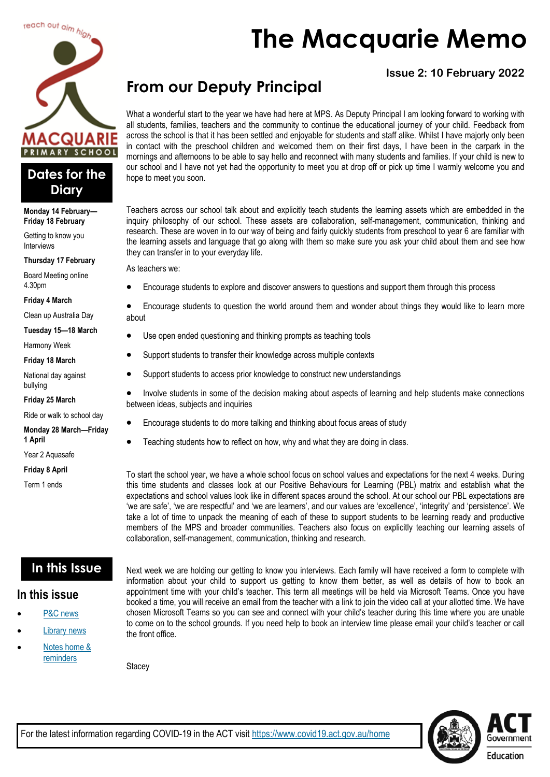

### **Dates for the Diary**

**Monday 14 February— Friday 18 February**

Getting to know you Interviews

**Thursday 17 February**

Board Meeting online 4.30pm

#### **Friday 4 March**

Clean up Australia Day

**Tuesday 15—18 March**

Harmony Week

#### **Friday 18 March**

National day against bullying

**Friday 25 March**

Ride or walk to school day

**Monday 28 March—Friday 1 April**

Year 2 Aquasafe

**Friday 8 April**

Term 1 ends

# **The Macquarie Memo**

### **Issue 2: 10 February 2022**

# **From our Deputy Principal**

What a wonderful start to the year we have had here at MPS. As Deputy Principal I am looking forward to working with all students, families, teachers and the community to continue the educational journey of your child. Feedback from across the school is that it has been settled and enjoyable for students and staff alike. Whilst I have majorly only been in contact with the preschool children and welcomed them on their first days, I have been in the carpark in the mornings and afternoons to be able to say hello and reconnect with many students and families. If your child is new to our school and I have not yet had the opportunity to meet you at drop off or pick up time I warmly welcome you and hope to meet you soon.

Teachers across our school talk about and explicitly teach students the learning assets which are embedded in the inquiry philosophy of our school. These assets are collaboration, self-management, communication, thinking and research. These are woven in to our way of being and fairly quickly students from preschool to year 6 are familiar with the learning assets and language that go along with them so make sure you ask your child about them and see how they can transfer in to your everyday life.

As teachers we:

• Encourage students to explore and discover answers to questions and support them through this process

• Encourage students to question the world around them and wonder about things they would like to learn more about

- Use open ended questioning and thinking prompts as teaching tools
- Support students to transfer their knowledge across multiple contexts
- Support students to access prior knowledge to construct new understandings
- Involve students in some of the decision making about aspects of learning and help students make connections between ideas, subjects and inquiries
- Encourage students to do more talking and thinking about focus areas of study
- Teaching students how to reflect on how, why and what they are doing in class.

To start the school year, we have a whole school focus on school values and expectations for the next 4 weeks. During this time students and classes look at our Positive Behaviours for Learning (PBL) matrix and establish what the expectations and school values look like in different spaces around the school. At our school our PBL expectations are 'we are safe', 'we are respectful' and 'we are learners', and our values are 'excellence', 'integrity' and 'persistence'. We take a lot of time to unpack the meaning of each of these to support students to be learning ready and productive members of the MPS and broader communities. Teachers also focus on explicitly teaching our learning assets of collaboration, self-management, communication, thinking and research.

### **In this Issue**

#### **In this issue**

- [P&C news](#page-1-0)
- **[Library news](#page-2-0)**
- Notes home & [reminders](#page-3-0)

Next week we are holding our getting to know you interviews. Each family will have received a form to complete with information about your child to support us getting to know them better, as well as details of how to book an appointment time with your child's teacher. This term all meetings will be held via Microsoft Teams. Once you have booked a time, you will receive an email from the teacher with a link to join the video call at your allotted time. We have chosen Microsoft Teams so you can see and connect with your child's teacher during this time where you are unable to come on to the school grounds. If you need help to book an interview time please email your child's teacher or call the front office.

**Stacey** 

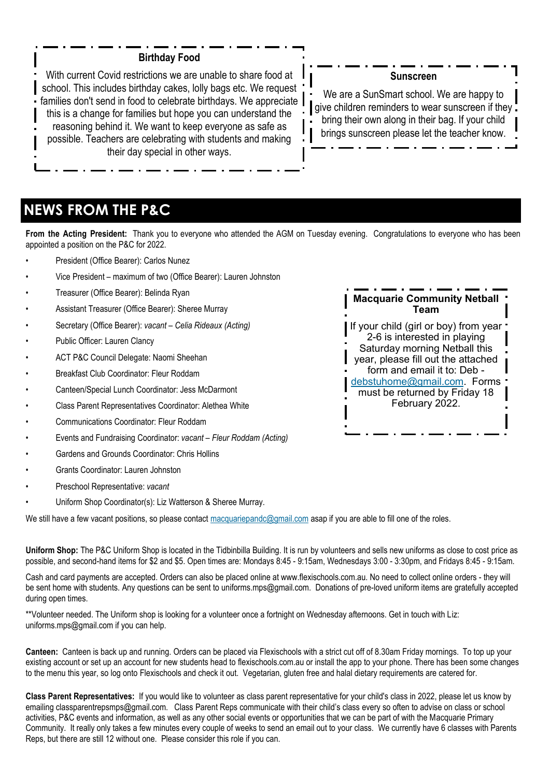#### **Birthday Food**

<span id="page-1-0"></span>With current Covid restrictions we are unable to share food at school. This includes birthday cakes, lolly bags etc. We request families don't send in food to celebrate birthdays. We appreciate this is a change for families but hope you can understand the reasoning behind it. We want to keep everyone as safe as possible. Teachers are celebrating with students and making their day special in other ways.

#### **Sunscreen**

We are a SunSmart school. We are happy to qive children reminders to wear sunscreen if they. bring their own along in their bag. If your child brings sunscreen please let the teacher know.

### **NEWS FROM THE P&C**

**From the Acting President:** Thank you to everyone who attended the AGM on Tuesday evening. Congratulations to everyone who has been appointed a position on the P&C for 2022.

- President (Office Bearer): Carlos Nunez
- Vice President maximum of two (Office Bearer): Lauren Johnston
- Treasurer (Office Bearer): Belinda Ryan
- Assistant Treasurer (Office Bearer): Sheree Murray
- Secretary (Office Bearer): *vacant – Celia Rideaux (Acting)*
- Public Officer: Lauren Clancy
- ACT P&C Council Delegate: Naomi Sheehan
- Breakfast Club Coordinator: Fleur Roddam
- Canteen/Special Lunch Coordinator: Jess McDarmont
- Class Parent Representatives Coordinator: Alethea White
- Communications Coordinator: Fleur Roddam
- Events and Fundraising Coordinator: *vacant – Fleur Roddam (Acting)*
- Gardens and Grounds Coordinator: Chris Hollins
- Grants Coordinator: Lauren Johnston
- Preschool Representative: *vacant*
- Uniform Shop Coordinator(s): Liz Watterson & Sheree Murray.

We still have a few vacant positions, so please contact [macquariepandc@gmail.com](mailto:macquariepandc@gmail.com) asap if you are able to fill one of the roles.

**Uniform Shop:** The P&C Uniform Shop is located in the Tidbinbilla Building. It is run by volunteers and sells new uniforms as close to cost price as possible, and second-hand items for \$2 and \$5. Open times are: Mondays 8:45 - 9:15am, Wednesdays 3:00 - 3:30pm, and Fridays 8:45 - 9:15am.

Cash and card payments are accepted. Orders can also be placed online at [www.flexischools.com.au.](https://aus01.safelinks.protection.outlook.com/?url=http%3A%2F%2Fwww.flexischools.com.au%2F&data=04%7C01%7C%7Cd71b10f119f145bb105a08d9e9f5fb53%7Cf1d4a8326c2144759bf48cc7e9044a29%7C0%7C0%7C637798065375510887%7CUnknown%7CTWFpbGZsb3d8eyJWIjoiMC4wLjAwMDAiLCJQIjoi) No need to collect online orders - they will be sent home with students. Any questions can be sent to [uniforms.mps@gmail.com.](mailto:uniforms.mps@gmail.com) Donations of pre-loved uniform items are gratefully accepted during open times.

\*\*Volunteer needed. The Uniform shop is looking for a volunteer once a fortnight on Wednesday afternoons. Get in touch with Liz: [uniforms.mps@gmail.com i](mailto:uniforms.mps@gmail.com)f you can help.

**Canteen:** Canteen is back up and running. Orders can be placed via Flexischools with a strict cut off of 8.30am Friday mornings. To top up your existing account or set up an account for new students head to flexischools.com.au or install the app to your phone. There has been some changes to the menu this year, so log onto Flexischools and check it out. Vegetarian, gluten free and halal dietary requirements are catered for.

**Class Parent Representatives:** If you would like to volunteer as class parent representative for your child's class in 2022, please let us know by emailing [classparentrepsmps@gmail.com.](mailto:classparentrepsmps@gmail.com) Class Parent Reps communicate with their child's class every so often to advise on class or school activities, P&C events and information, as well as any other social events or opportunities that we can be part of with the Macquarie Primary Community. It really only takes a few minutes every couple of weeks to send an email out to your class. We currently have 6 classes with Parents Reps, but there are still 12 without one. Please consider this role if you can.

**Macquarie Community Netball Team** If your child (girl or boy) from year '

2-6 is interested in playing Saturday morning Netball this year, please fill out the attached form and email it to: Deb [debstuhome@gmail.com.](mailto:debstuhome@gmail.com) Forms must be returned by Friday 18 February 2022.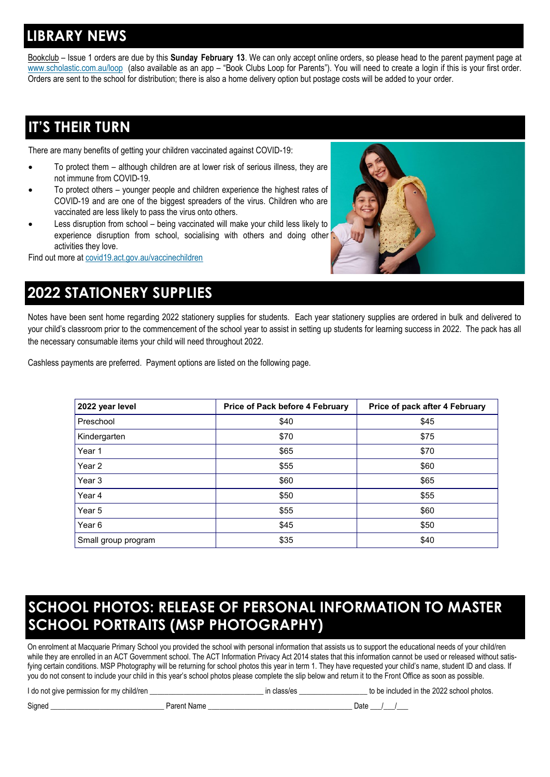### <span id="page-2-0"></span>**LIBRARY NEWS**

Bookclub – Issue 1 orders are due by this **Sunday February 13**. We can only accept online orders, so please head to the parent payment page at [www.scholastic.com.au/loop](http://www.scholastic.com.au/loop) (also available as an app – "Book Clubs Loop for Parents"). You will need to create a login if this is your first order. Orders are sent to the school for distribution; there is also a home delivery option but postage costs will be added to your order.

# **IT'S THEIR TURN**

There are many benefits of getting your children vaccinated against COVID-19:

- To protect them although children are at lower risk of serious illness, they are not immune from COVID-19.
- To protect others younger people and children experience the highest rates of COVID-19 and are one of the biggest spreaders of the virus. Children who are vaccinated are less likely to pass the virus onto others.
- Less disruption from school being vaccinated will make your child less likely to experience disruption from school, socialising with others and doing other activities they love.

Find out more at [covid19.act.gov.au/vaccinechildren](http://www.covid19.act.gov.au/vaccinechildren)



# **2022 STATIONERY SUPPLIES**

Notes have been sent home regarding 2022 stationery supplies for students. Each year stationery supplies are ordered in bulk and delivered to your child's classroom prior to the commencement of the school year to assist in setting up students for learning success in 2022. The pack has all the necessary consumable items your child will need throughout 2022.

Cashless payments are preferred. Payment options are listed on the following page.

| 2022 year level     | Price of Pack before 4 February | Price of pack after 4 February |
|---------------------|---------------------------------|--------------------------------|
| Preschool           | \$40                            | \$45                           |
| Kindergarten        | \$70                            | \$75                           |
| Year 1              | \$65                            | \$70                           |
| Year <sub>2</sub>   | \$55                            | \$60                           |
| Year 3              | \$60                            | \$65                           |
| Year 4              | \$50                            | \$55                           |
| Year 5              | \$55                            | \$60                           |
| Year <sub>6</sub>   | \$45                            | \$50                           |
| Small group program | \$35                            | \$40                           |

# **SCHOOL PHOTOS: RELEASE OF PERSONAL INFORMATION TO MASTER SCHOOL PORTRAITS (MSP PHOTOGRAPHY)**

On enrolment at Macquarie Primary School you provided the school with personal information that assists us to support the educational needs of your child/ren while they are enrolled in an ACT Government school. The ACT Information Privacy Act 2014 states that this information cannot be used or released without satisfying certain conditions. MSP Photography will be returning for school photos this year in term 1. They have requested your child's name, student ID and class. If you do not consent to include your child in this year's school photos please complete the slip below and return it to the Front Office as soon as possible.

|  |  | I do not give permission for my child/ren |  |  |
|--|--|-------------------------------------------|--|--|

In class/es \_\_\_\_\_\_\_\_\_\_\_\_\_\_\_\_\_\_\_\_\_\_\_\_ to be included in the 2022 school photos.

Signed \_\_\_\_\_\_\_\_\_\_\_\_\_\_\_\_\_\_\_\_\_\_\_\_\_\_\_\_\_\_ Parent Name \_\_\_\_\_\_\_\_\_\_\_\_\_\_\_\_\_\_\_\_\_\_\_\_\_\_\_\_\_\_\_\_\_\_\_\_\_\_ Date \_\_\_/\_\_\_/\_\_\_